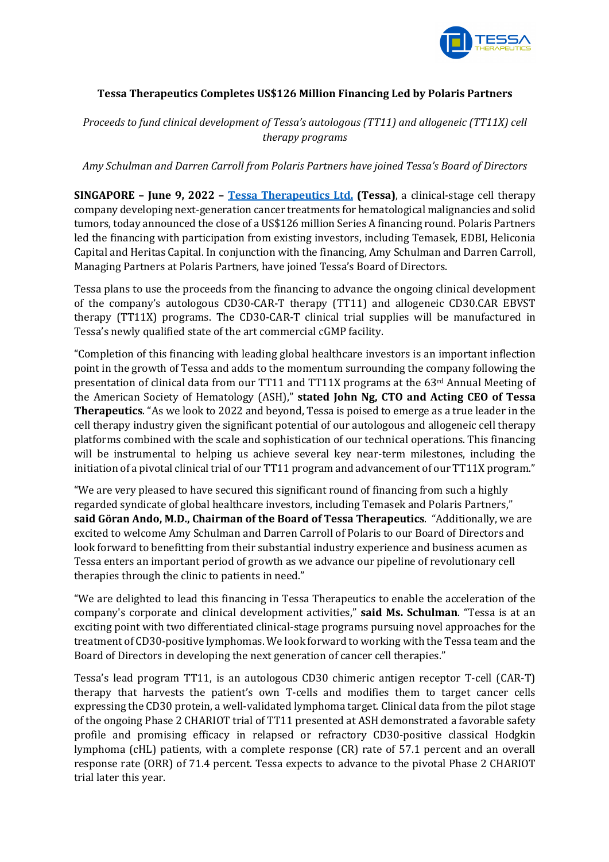

# **Tessa Therapeutics Completes US\$126 Million Financing Led by Polaris Partners**

*Proceeds to fund clinical development of Tessa's autologous (TT11) and allogeneic (TT11X) cell therapy programs*

*Amy Schulman and Darren Carroll from Polaris Partners have joined Tessa's Board of Directors*

**SINGAPORE** – **June 9, 2022** – **Tessa Therapeutics Ltd.** (Tessa), a clinical-stage cell therapy company developing next-generation cancer treatments for hematological malignancies and solid tumors, today announced the close of a US\$126 million Series A financing round. Polaris Partners led the financing with participation from existing investors, including Temasek, EDBI, Heliconia Capital and Heritas Capital. In conjunction with the financing, Amy Schulman and Darren Carroll, Managing Partners at Polaris Partners, have joined Tessa's Board of Directors.

Tessa plans to use the proceeds from the financing to advance the ongoing clinical development of the company's autologous CD30-CAR-T therapy (TT11) and allogeneic CD30.CAR EBVST therapy  $(TT11X)$  programs. The CD30-CAR-T clinical trial supplies will be manufactured in Tessa's newly qualified state of the art commercial cGMP facility.

"Completion of this financing with leading global healthcare investors is an important inflection point in the growth of Tessa and adds to the momentum surrounding the company following the presentation of clinical data from our TT11 and TT11X programs at the  $63<sup>rd</sup>$  Annual Meeting of the American Society of Hematology (ASH)," stated John Ng, CTO and Acting CEO of Tessa **Therapeutics**. "As we look to 2022 and beyond, Tessa is poised to emerge as a true leader in the cell therapy industry given the significant potential of our autologous and allogeneic cell therapy platforms combined with the scale and sophistication of our technical operations. This financing will be instrumental to helping us achieve several key near-term milestones, including the initiation of a pivotal clinical trial of our TT11 program and advancement of our TT11X program."

"We are very pleased to have secured this significant round of financing from such a highly regarded syndicate of global healthcare investors, including Temasek and Polaris Partners," **said Göran Ando, M.D., Chairman of the Board of Tessa Therapeutics**. "Additionally, we are excited to welcome Amy Schulman and Darren Carroll of Polaris to our Board of Directors and look forward to benefitting from their substantial industry experience and business acumen as Tessa enters an important period of growth as we advance our pipeline of revolutionary cell therapies through the clinic to patients in need."

"We are delighted to lead this financing in Tessa Therapeutics to enable the acceleration of the company's corporate and clinical development activities," **said Ms. Schulman**. "Tessa is at an exciting point with two differentiated clinical-stage programs pursuing novel approaches for the treatment of CD30-positive lymphomas. We look forward to working with the Tessa team and the Board of Directors in developing the next generation of cancer cell therapies."

Tessa's lead program TT11, is an autologous CD30 chimeric antigen receptor T-cell (CAR-T) therapy that harvests the patient's own T-cells and modifies them to target cancer cells expressing the CD30 protein, a well-validated lymphoma target. Clinical data from the pilot stage of the ongoing Phase 2 CHARIOT trial of TT11 presented at ASH demonstrated a favorable safety profile and promising efficacy in relapsed or refractory CD30-positive classical Hodgkin lymphoma (cHL) patients, with a complete response (CR) rate of 57.1 percent and an overall response rate (ORR) of 71.4 percent. Tessa expects to advance to the pivotal Phase 2 CHARIOT trial later this year.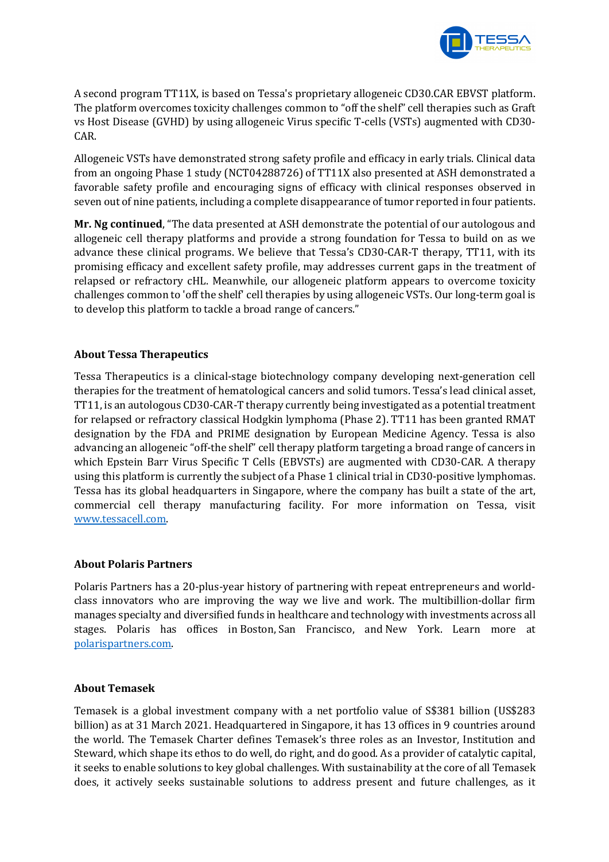

A second program TT11X, is based on Tessa's proprietary allogeneic CD30.CAR EBVST platform. The platform overcomes toxicity challenges common to "off the shelf" cell therapies such as Graft vs Host Disease (GVHD) by using allogeneic Virus specific T-cells (VSTs) augmented with CD30-CAR.

Allogeneic VSTs have demonstrated strong safety profile and efficacy in early trials. Clinical data from an ongoing Phase 1 study (NCT04288726) of TT11X also presented at ASH demonstrated a favorable safety profile and encouraging signs of efficacy with clinical responses observed in seven out of nine patients, including a complete disappearance of tumor reported in four patients.

**Mr. Ng continued**, "The data presented at ASH demonstrate the potential of our autologous and allogeneic cell therapy platforms and provide a strong foundation for Tessa to build on as we advance these clinical programs. We believe that Tessa's CD30-CAR-T therapy, TT11, with its promising efficacy and excellent safety profile, may addresses current gaps in the treatment of relapsed or refractory cHL. Meanwhile, our allogeneic platform appears to overcome toxicity challenges common to 'off the shelf' cell therapies by using allogeneic VSTs. Our long-term goal is to develop this platform to tackle a broad range of cancers."

## **About Tessa Therapeutics**

Tessa Therapeutics is a clinical-stage biotechnology company developing next-generation cell therapies for the treatment of hematological cancers and solid tumors. Tessa's lead clinical asset, TT11, is an autologous CD30-CAR-T therapy currently being investigated as a potential treatment for relapsed or refractory classical Hodgkin lymphoma (Phase 2). TT11 has been granted RMAT designation by the FDA and PRIME designation by European Medicine Agency. Tessa is also advancing an allogeneic "off-the shelf" cell therapy platform targeting a broad range of cancers in which Epstein Barr Virus Specific T Cells (EBVSTs) are augmented with CD30-CAR. A therapy using this platform is currently the subject of a Phase 1 clinical trial in CD30-positive lymphomas. Tessa has its global headquarters in Singapore, where the company has built a state of the art, commercial cell therapy manufacturing facility. For more information on Tessa, visit www.tessacell.com.

### **About Polaris Partners**

Polaris Partners has a 20-plus-year history of partnering with repeat entrepreneurs and worldclass innovators who are improving the way we live and work. The multibillion-dollar firm manages specialty and diversified funds in healthcare and technology with investments across all stages. Polaris has offices in Boston, San Francisco, and New York. Learn more at polarispartners.com.

### **About Temasek**

Temasek is a global investment company with a net portfolio value of S\$381 billion (US\$283) billion) as at 31 March 2021. Headquartered in Singapore, it has 13 offices in 9 countries around the world. The Temasek Charter defines Temasek's three roles as an Investor, Institution and Steward, which shape its ethos to do well, do right, and do good. As a provider of catalytic capital, it seeks to enable solutions to key global challenges. With sustainability at the core of all Temasek does, it actively seeks sustainable solutions to address present and future challenges, as it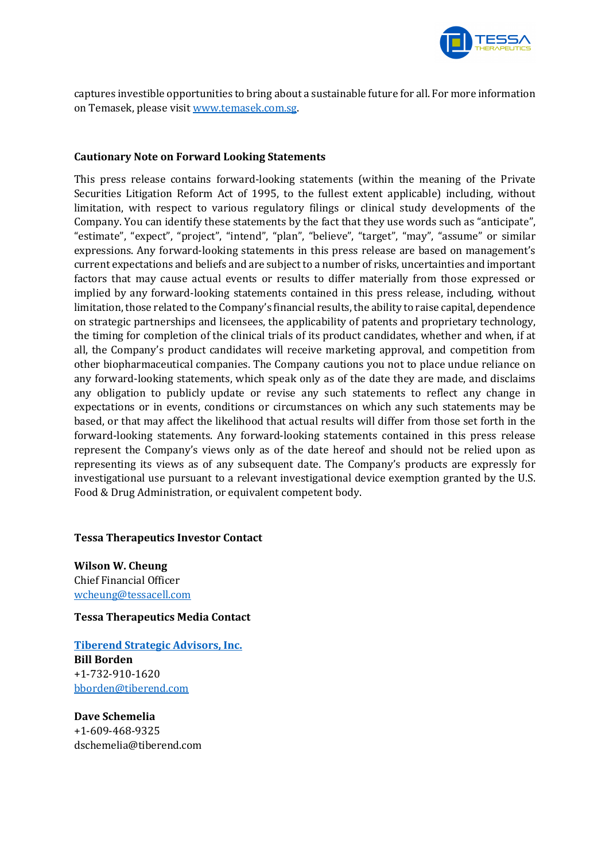

captures investible opportunities to bring about a sustainable future for all. For more information on Temasek, please visit www.temasek.com.sg.

### **Cautionary Note on Forward Looking Statements**

This press release contains forward-looking statements (within the meaning of the Private Securities Litigation Reform Act of 1995, to the fullest extent applicable) including, without limitation, with respect to various regulatory filings or clinical study developments of the Company. You can identify these statements by the fact that they use words such as "anticipate", "estimate", "expect", "project", "intend", "plan", "believe", "target", "may", "assume" or similar expressions. Any forward-looking statements in this press release are based on management's current expectations and beliefs and are subject to a number of risks, uncertainties and important factors that may cause actual events or results to differ materially from those expressed or implied by any forward-looking statements contained in this press release, including, without limitation, those related to the Company's financial results, the ability to raise capital, dependence on strategic partnerships and licensees, the applicability of patents and proprietary technology, the timing for completion of the clinical trials of its product candidates, whether and when, if at all, the Company's product candidates will receive marketing approval, and competition from other biopharmaceutical companies. The Company cautions you not to place undue reliance on any forward-looking statements, which speak only as of the date they are made, and disclaims any obligation to publicly update or revise any such statements to reflect any change in expectations or in events, conditions or circumstances on which any such statements may be based, or that may affect the likelihood that actual results will differ from those set forth in the forward-looking statements. Any forward-looking statements contained in this press release represent the Company's views only as of the date hereof and should not be relied upon as representing its views as of any subsequent date. The Company's products are expressly for investigational use pursuant to a relevant investigational device exemption granted by the U.S. Food & Drug Administration, or equivalent competent body.

### **Tessa Therapeutics Investor Contact**

**Wilson W. Cheung** Chief Financial Officer wcheung@tessacell.com

**Tessa Therapeutics Media Contact**

**Tiberend Strategic Advisors, Inc. Bill Borden** +1-732-910-1620 bborden@tiberend.com

**Dave Schemelia** +1-609-468-9325 dschemelia@tiberend.com